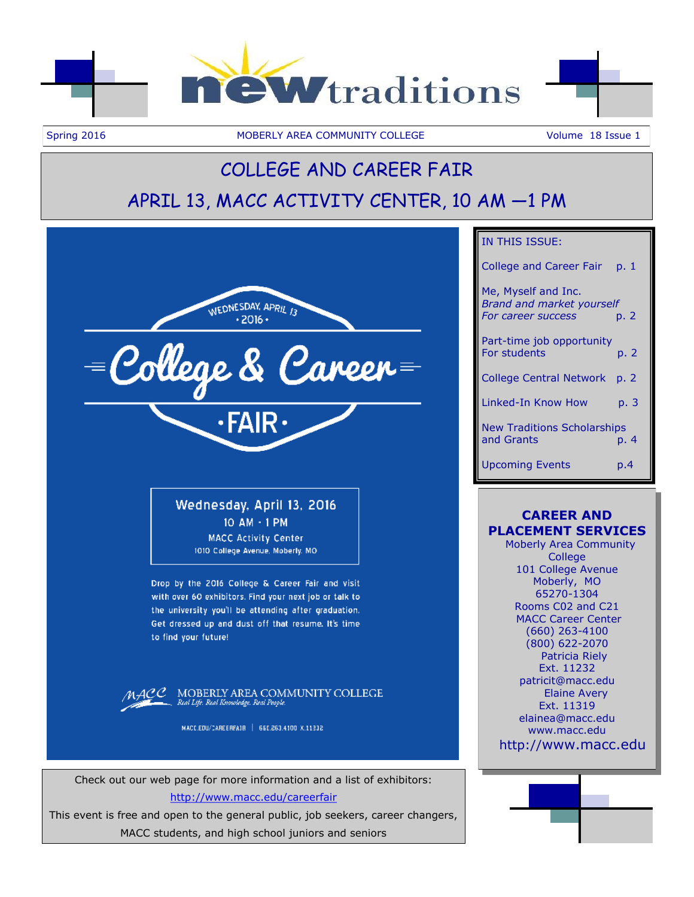

Spring 2016 **MOBERLY AREA COMMUNITY COLLEGE** Volume 18 Issue 1

# COLLEGE AND CAREER FAIR APRIL 13, MACC ACTIVITY CENTER, 10 AM —1 PM



Check out our web page for more information and a list of exhibitors: <http://www.macc.edu/careerfair>

This event is free and open to the general public, job seekers, career changers, MACC students, and high school juniors and seniors

## IN THIS ISSUE:

College and Career Fair p. 1 Me, Myself and Inc. *Brand and market yourself For career success* p. 2 Part-time job opportunity For students b. 2 College Central Network p. 2 Linked-In Know How p. 3 New Traditions Scholarships and Grants **p. 4** Upcoming Events p.4

# **CAREER AND PLACEMENT SERVICES**

 Moberly Area Community **College** 101 College Avenue Moberly, MO 65270-1304 Rooms C02 and C21 MACC Career Center (660) 263-4100 (800) 622-2070 Patricia Riely Ext. 11232 patricit@macc.edu Elaine Avery Ext. 11319 elainea@macc.edu www.macc.edu http://www.macc.edu

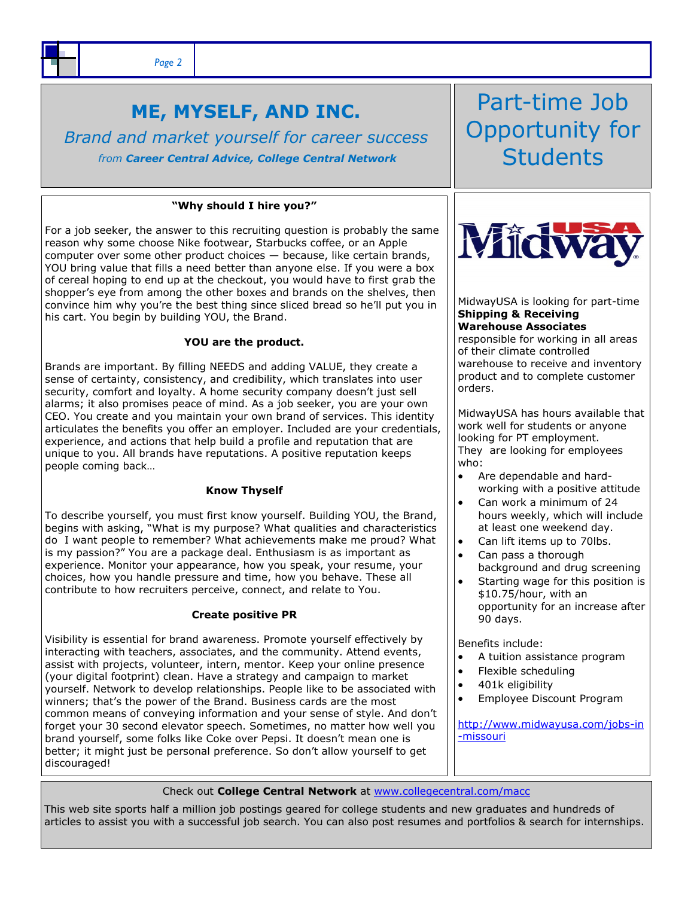# **ME, MYSELF, AND INC.**

*Brand and market yourself for career success from Career Central Advice, College Central Network*

### **"Why should I hire you?"**

For a job seeker, the answer to this recruiting question is probably the same reason why some choose Nike footwear, Starbucks coffee, or an Apple computer over some other product choices — because, like certain brands, YOU bring value that fills a need better than anyone else. If you were a box of cereal hoping to end up at the checkout, you would have to first grab the shopper's eye from among the other boxes and brands on the shelves, then convince him why you're the best thing since sliced bread so he'll put you in his cart. You begin by building YOU, the Brand.

## **YOU are the product.**

Brands are important. By filling NEEDS and adding VALUE, they create a sense of certainty, consistency, and credibility, which translates into user security, comfort and loyalty. A home security company doesn't just sell alarms; it also promises peace of mind. As a job seeker, you are your own CEO. You create and you maintain your own brand of services. This identity articulates the benefits you offer an employer. Included are your credentials, experience, and actions that help build a profile and reputation that are unique to you. All brands have reputations. A positive reputation keeps people coming back…

### **Know Thyself**

To describe yourself, you must first know yourself. Building YOU, the Brand, begins with asking, "What is my purpose? What qualities and characteristics do I want people to remember? What achievements make me proud? What is my passion?" You are a package deal. Enthusiasm is as important as experience. Monitor your appearance, how you speak, your resume, your choices, how you handle pressure and time, how you behave. These all contribute to how recruiters perceive, connect, and relate to You.

### **Create positive PR**

Visibility is essential for brand awareness. Promote yourself effectively by interacting with teachers, associates, and the community. Attend events, assist with projects, volunteer, intern, mentor. Keep your online presence (your digital footprint) clean. Have a strategy and campaign to market yourself. Network to develop relationships. People like to be associated with winners; that's the power of the Brand. Business cards are the most common means of conveying information and your sense of style. And don't forget your 30 second elevator speech. Sometimes, no matter how well you brand yourself, some folks like Coke over Pepsi. It doesn't mean one is better; it might just be personal preference. So don't allow yourself to get discouraged!

Part-time Job Opportunity for **Students** 



MidwayUSA is looking for part-time **Shipping & Receiving Warehouse Associates**  responsible for working in all areas of their climate controlled warehouse to receive and inventory product and to complete customer orders.

MidwayUSA has hours available that work well for students or anyone looking for PT employment. They are looking for employees who:

- Are dependable and hardworking with a positive attitude
- Can work a minimum of 24 hours weekly, which will include at least one weekend day.
- Can lift items up to 70lbs.
- Can pass a thorough background and drug screening
- Starting wage for this position is \$10.75/hour, with an opportunity for an increase after 90 days.

Benefits include:

- A tuition assistance program
- Flexible scheduling
- 401k eligibility
- Employee Discount Program

[http://www.midwayusa.com/jobs-in](http://www.midwayusa.com/jobs-in-missouri) [-missouri](http://www.midwayusa.com/jobs-in-missouri)

Check out **College Central Network** at [www.collegecentral.com/macc](http://www.collegecentral.com/macc) 

This web site sports half a million job postings geared for college students and new graduates and hundreds of articles to assist you with a successful job search. You can also post resumes and portfolios & search for internships.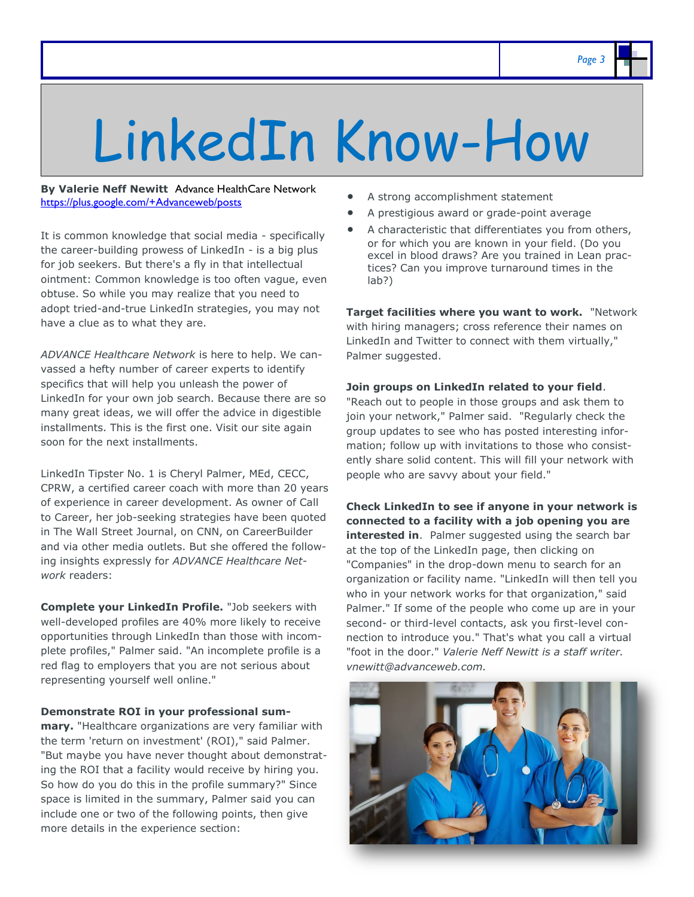# LinkedIn Know-How

**By Valerie Neff Newitt** Advance HealthCare Network <https://plus.google.com/+Advanceweb/posts>

It is common knowledge that social media - specifically the career-building prowess of LinkedIn - is a big plus for job seekers. But there's a fly in that intellectual ointment: Common knowledge is too often vague, even obtuse. So while you may realize that you need to adopt tried-and-true LinkedIn strategies, you may not have a clue as to what they are.

*ADVANCE Healthcare Network* is here to help. We canvassed a hefty number of career experts to identify specifics that will help you unleash the power of LinkedIn for your own job search. Because there are so many great ideas, we will offer the advice in digestible installments. This is the first one. Visit our site again soon for the next installments.

LinkedIn Tipster No. 1 is Cheryl Palmer, MEd, CECC, CPRW, a certified career coach with more than 20 years of experience in career development. As owner of Call to Career, her job-seeking strategies have been quoted in The Wall Street Journal, on CNN, on CareerBuilder and via other media outlets. But she offered the following insights expressly for *ADVANCE Healthcare Network* readers:

**Complete your LinkedIn Profile.** "Job seekers with well-developed profiles are 40% more likely to receive opportunities through LinkedIn than those with incomplete profiles," Palmer said. "An incomplete profile is a red flag to employers that you are not serious about representing yourself well online."

**Demonstrate ROI in your professional sum-**

**mary.** "Healthcare organizations are very familiar with the term 'return on investment' (ROI)," said Palmer. "But maybe you have never thought about demonstrating the ROI that a facility would receive by hiring you. So how do you do this in the profile summary?" Since space is limited in the summary, Palmer said you can include one or two of the following points, then give more details in the experience section:

- A strong accomplishment statement
- A prestigious award or grade-point average
- A characteristic that differentiates you from others, or for which you are known in your field. (Do you excel in blood draws? Are you trained in Lean practices? Can you improve turnaround times in the lab?)

**Target facilities where you want to work.** "Network with hiring managers; cross reference their names on LinkedIn and Twitter to connect with them virtually," Palmer suggested.

**Join groups on LinkedIn related to your field**.

"Reach out to people in those groups and ask them to join your network," Palmer said. "Regularly check the group updates to see who has posted interesting information; follow up with invitations to those who consistently share solid content. This will fill your network with people who are savvy about your field."

**Check LinkedIn to see if anyone in your network is connected to a facility with a job opening you are interested in**. Palmer suggested using the search bar at the top of the LinkedIn page, then clicking on "Companies" in the drop-down menu to search for an organization or facility name. "LinkedIn will then tell you who in your network works for that organization," said Palmer." If some of the people who come up are in your second- or third-level contacts, ask you first-level connection to introduce you." That's what you call a virtual "foot in the door." *Valerie Neff Newitt is a staff writer. vnewitt@advanceweb.com.*